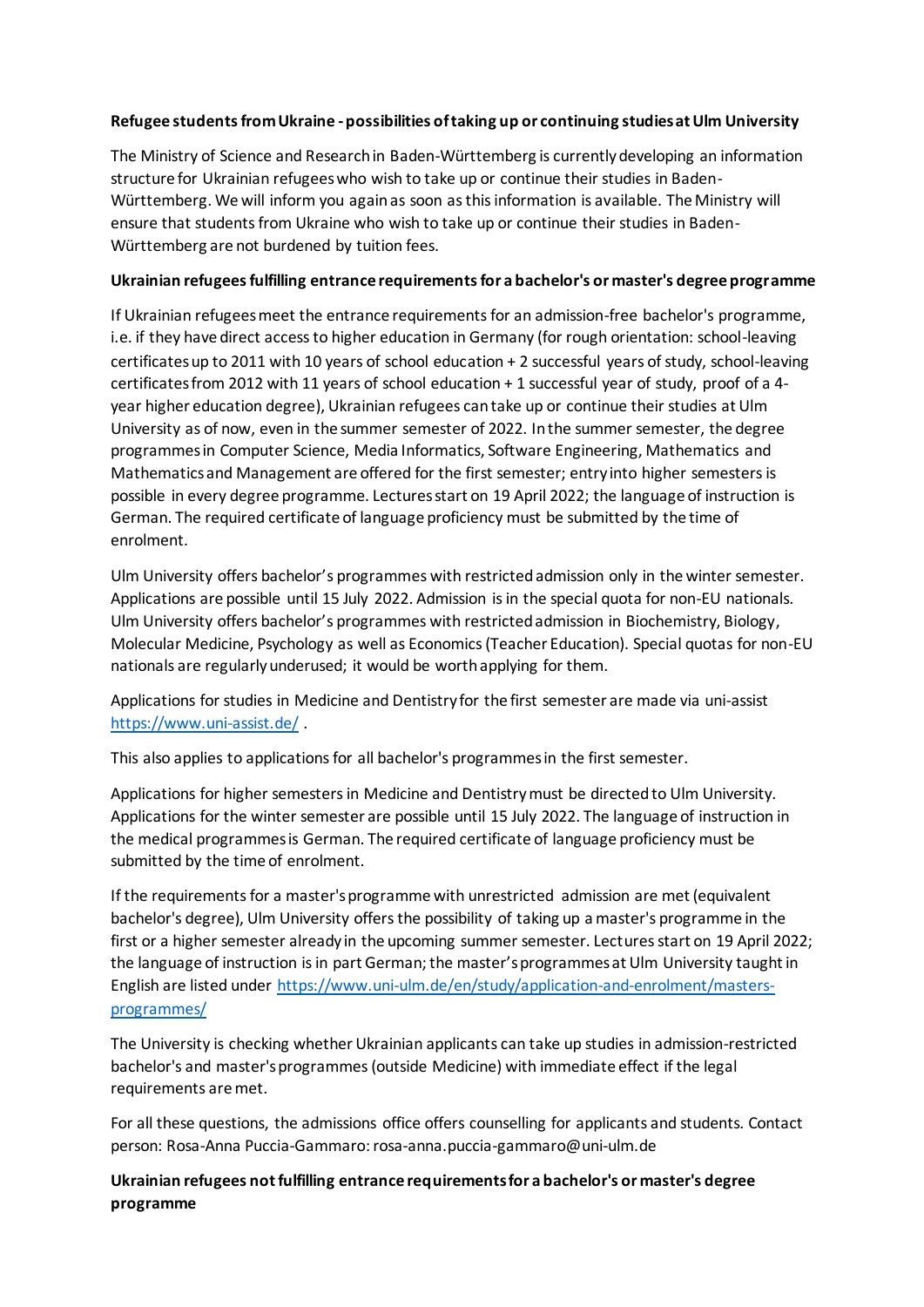## **Refugee students from Ukraine -possibilities of taking up or continuing studies at Ulm University**

The Ministry of Science and Research in Baden-Württemberg is currently developing an information structure for Ukrainian refugees who wish to take up or continue their studies in Baden-Württemberg. We will inform you again as soon as this information is available. The Ministry will ensure that students from Ukraine who wish to take up or continue their studies in Baden-Württemberg are not burdened by tuition fees.

## **Ukrainian refugees fulfilling entrance requirements for a bachelor's or master's degree programme**

If Ukrainian refugees meet the entrance requirements for an admission-free bachelor's programme, i.e. if they have direct access to higher education in Germany (for rough orientation: school-leaving certificates up to 2011 with 10 years of school education + 2 successful years of study, school-leaving certificates from 2012 with 11 years of school education + 1 successful year of study, proof of a 4 year higher education degree), Ukrainian refugees can take up or continue their studies at Ulm University as of now, even in the summer semester of 2022. In the summer semester, the degree programmes in Computer Science, Media Informatics, Software Engineering, Mathematics and Mathematics and Management are offered for the first semester; entry into higher semesters is possible in every degree programme. Lectures start on 19 April 2022; the language of instruction is German. The required certificate of language proficiency must be submitted by the time of enrolment.

Ulm University offers bachelor's programmes with restricted admission only in the winter semester. Applications are possible until 15 July 2022. Admission is in the special quota for non-EU nationals. Ulm University offers bachelor's programmes with restricted admission in Biochemistry, Biology, Molecular Medicine, Psychology as well as Economics (Teacher Education). Special quotas for non-EU nationals are regularly underused; it would be worth applying for them.

Applications for studies in Medicine and Dentistry for the first semester are made via uni-assist <https://www.uni-assist.de/> .

This also applies to applications for all bachelor's programmes in the first semester.

Applications for higher semesters in Medicine and Dentistry must be directedto Ulm University. Applications for the winter semester are possible until 15 July 2022. The language of instruction in the medical programmes is German. The required certificate of language proficiency must be submitted by the time of enrolment.

If the requirements for a master's programme with unrestricted admission are met (equivalent bachelor's degree), Ulm University offers the possibility of taking up a master's programme in the first or a higher semester already in the upcoming summer semester. Lectures start on 19 April 2022; the language of instruction is in part German; the master's programmes at Ulm University taught in English are listed under [https://www.uni-ulm.de/en/study/application-and-enrolment/masters](https://www.uni-ulm.de/en/study/application-and-enrolment/masters-programmes/)[programmes/](https://www.uni-ulm.de/en/study/application-and-enrolment/masters-programmes/)

The University is checking whether Ukrainian applicants can take up studies in admission-restricted bachelor's and master's programmes (outside Medicine) with immediate effect if the legal requirements are met.

For all these questions, the admissions office offers counselling for applicants and students. Contact person: Rosa-Anna Puccia-Gammaro: rosa-anna.puccia-gammaro@uni-ulm.de

**Ukrainian refugees not fulfilling entrance requirements for a bachelor's or master's degree programme**